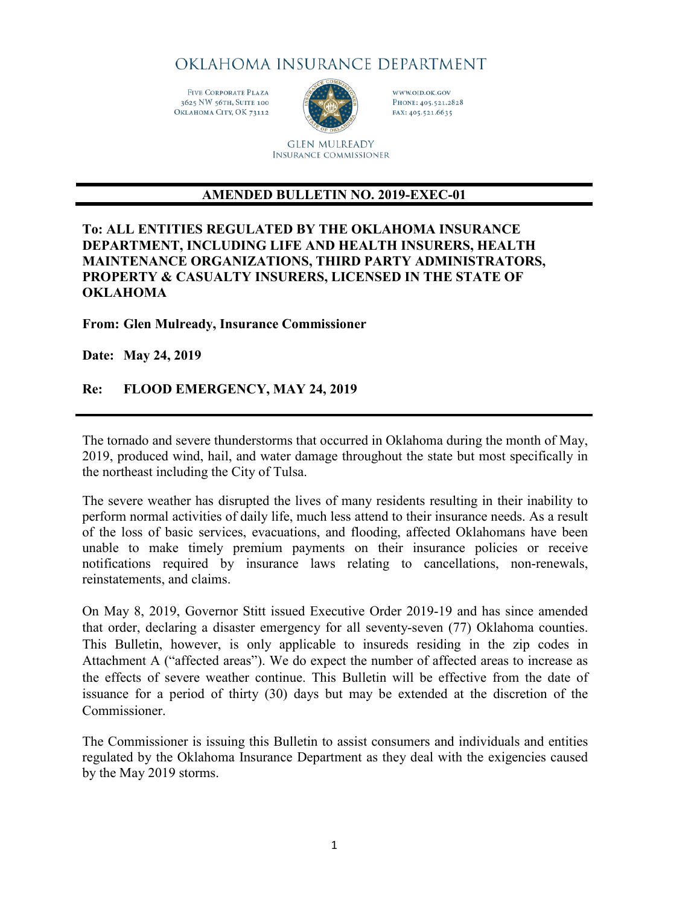# OKLAHOMA INSURANCE DEPARTMENT

**FIVE CORPORATE PLAZA** 3625 NW 56TH, SUITE 100 ОкLAHOMA СІТУ, ОК 73112



WWW.OID.OK.GOV PHONE: 405.521.2828 FAX: 405.521.6635

**GLEN MULREADY INSURANCE COMMISSIONER** 

# **AMENDED BULLETIN NO. 2019-EXEC-01**

#### **To: ALL ENTITIES REGULATED BY THE OKLAHOMA INSURANCE DEPARTMENT, INCLUDING LIFE AND HEALTH INSURERS, HEALTH MAINTENANCE ORGANIZATIONS, THIRD PARTY ADMINISTRATORS, PROPERTY & CASUALTY INSURERS, LICENSED IN THE STATE OF OKLAHOMA**

**From: Glen Mulready, Insurance Commissioner**

**Date: May 24, 2019** 

# **Re: FLOOD EMERGENCY, MAY 24, 2019**

The tornado and severe thunderstorms that occurred in Oklahoma during the month of May, 2019, produced wind, hail, and water damage throughout the state but most specifically in the northeast including the City of Tulsa.

The severe weather has disrupted the lives of many residents resulting in their inability to perform normal activities of daily life, much less attend to their insurance needs. As a result of the loss of basic services, evacuations, and flooding, affected Oklahomans have been unable to make timely premium payments on their insurance policies or receive notifications required by insurance laws relating to cancellations, non-renewals, reinstatements, and claims.

On May 8, 2019, Governor Stitt issued Executive Order 2019-19 and has since amended that order, declaring a disaster emergency for all seventy-seven (77) Oklahoma counties. This Bulletin, however, is only applicable to insureds residing in the zip codes in Attachment A ("affected areas"). We do expect the number of affected areas to increase as the effects of severe weather continue. This Bulletin will be effective from the date of issuance for a period of thirty (30) days but may be extended at the discretion of the **Commissioner** 

The Commissioner is issuing this Bulletin to assist consumers and individuals and entities regulated by the Oklahoma Insurance Department as they deal with the exigencies caused by the May 2019 storms.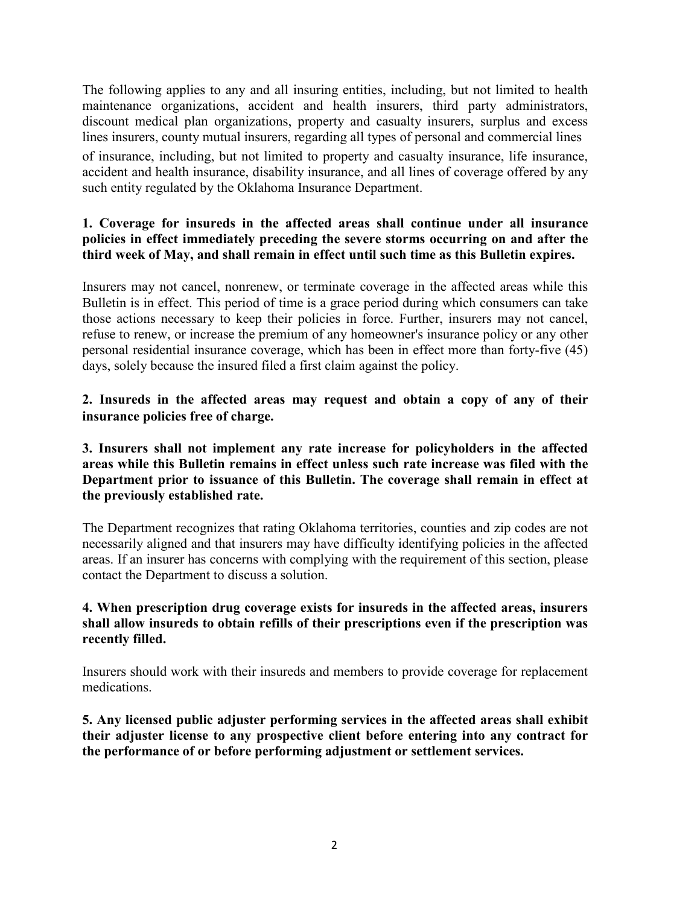The following applies to any and all insuring entities, including, but not limited to health maintenance organizations, accident and health insurers, third party administrators, discount medical plan organizations, property and casualty insurers, surplus and excess lines insurers, county mutual insurers, regarding all types of personal and commercial lines

of insurance, including, but not limited to property and casualty insurance, life insurance, accident and health insurance, disability insurance, and all lines of coverage offered by any such entity regulated by the Oklahoma Insurance Department.

### **1. Coverage for insureds in the affected areas shall continue under all insurance policies in effect immediately preceding the severe storms occurring on and after the third week of May, and shall remain in effect until such time as this Bulletin expires.**

Insurers may not cancel, nonrenew, or terminate coverage in the affected areas while this Bulletin is in effect. This period of time is a grace period during which consumers can take those actions necessary to keep their policies in force. Further, insurers may not cancel, refuse to renew, or increase the premium of any homeowner's insurance policy or any other personal residential insurance coverage, which has been in effect more than forty-five (45) days, solely because the insured filed a first claim against the policy.

**2. Insureds in the affected areas may request and obtain a copy of any of their insurance policies free of charge.**

**3. Insurers shall not implement any rate increase for policyholders in the affected areas while this Bulletin remains in effect unless such rate increase was filed with the Department prior to issuance of this Bulletin. The coverage shall remain in effect at the previously established rate.**

The Department recognizes that rating Oklahoma territories, counties and zip codes are not necessarily aligned and that insurers may have difficulty identifying policies in the affected areas. If an insurer has concerns with complying with the requirement of this section, please contact the Department to discuss a solution.

### **4. When prescription drug coverage exists for insureds in the affected areas, insurers shall allow insureds to obtain refills of their prescriptions even if the prescription was recently filled.**

Insurers should work with their insureds and members to provide coverage for replacement medications.

**5. Any licensed public adjuster performing services in the affected areas shall exhibit their adjuster license to any prospective client before entering into any contract for the performance of or before performing adjustment or settlement services.**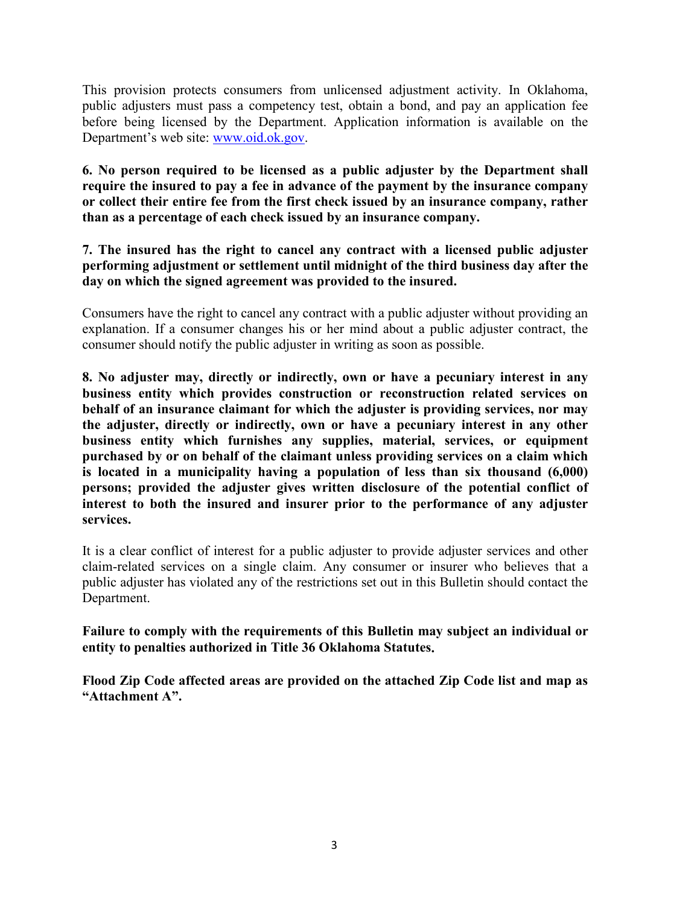This provision protects consumers from unlicensed adjustment activity. In Oklahoma, public adjusters must pass a competency test, obtain a bond, and pay an application fee before being licensed by the Department. Application information is available on the Department's web site: [www.oid.ok.gov.](http://www.oid.ok.gov/)

**6. No person required to be licensed as a public adjuster by the Department shall require the insured to pay a fee in advance of the payment by the insurance company or collect their entire fee from the first check issued by an insurance company, rather than as a percentage of each check issued by an insurance company.** 

**7. The insured has the right to cancel any contract with a licensed public adjuster performing adjustment or settlement until midnight of the third business day after the day on which the signed agreement was provided to the insured.**

Consumers have the right to cancel any contract with a public adjuster without providing an explanation. If a consumer changes his or her mind about a public adjuster contract, the consumer should notify the public adjuster in writing as soon as possible.

**8. No adjuster may, directly or indirectly, own or have a pecuniary interest in any business entity which provides construction or reconstruction related services on behalf of an insurance claimant for which the adjuster is providing services, nor may the adjuster, directly or indirectly, own or have a pecuniary interest in any other business entity which furnishes any supplies, material, services, or equipment purchased by or on behalf of the claimant unless providing services on a claim which is located in a municipality having a population of less than six thousand (6,000) persons; provided the adjuster gives written disclosure of the potential conflict of interest to both the insured and insurer prior to the performance of any adjuster services.**

It is a clear conflict of interest for a public adjuster to provide adjuster services and other claim-related services on a single claim. Any consumer or insurer who believes that a public adjuster has violated any of the restrictions set out in this Bulletin should contact the Department.

**Failure to comply with the requirements of this Bulletin may subject an individual or entity to penalties authorized in Title 36 Oklahoma Statutes.**

**Flood Zip Code affected areas are provided on the attached Zip Code list and map as "Attachment A".**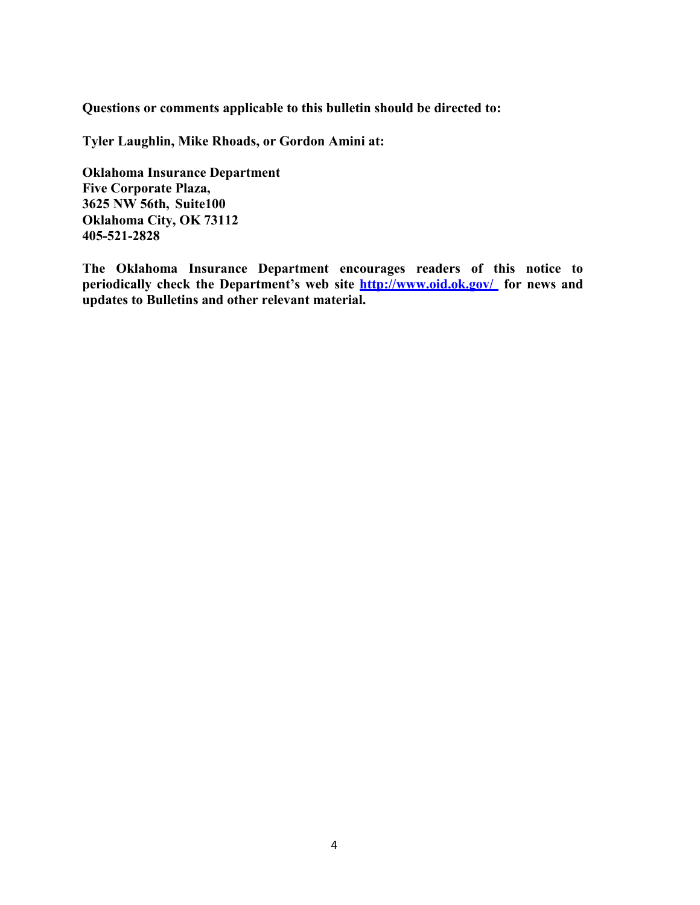**Questions or comments applicable to this bulletin should be directed to:** 

**Tyler Laughlin, Mike Rhoads, or Gordon Amini at:**

**Oklahoma Insurance Department Five Corporate Plaza, 3625 NW 56th, Suite100 Oklahoma City, OK 73112 405-521-2828**

**The Oklahoma Insurance Department encourages readers of this notice to periodically check the Department's web site<http://www.oid.ok.gov/> for news and updates to Bulletins and other relevant material.**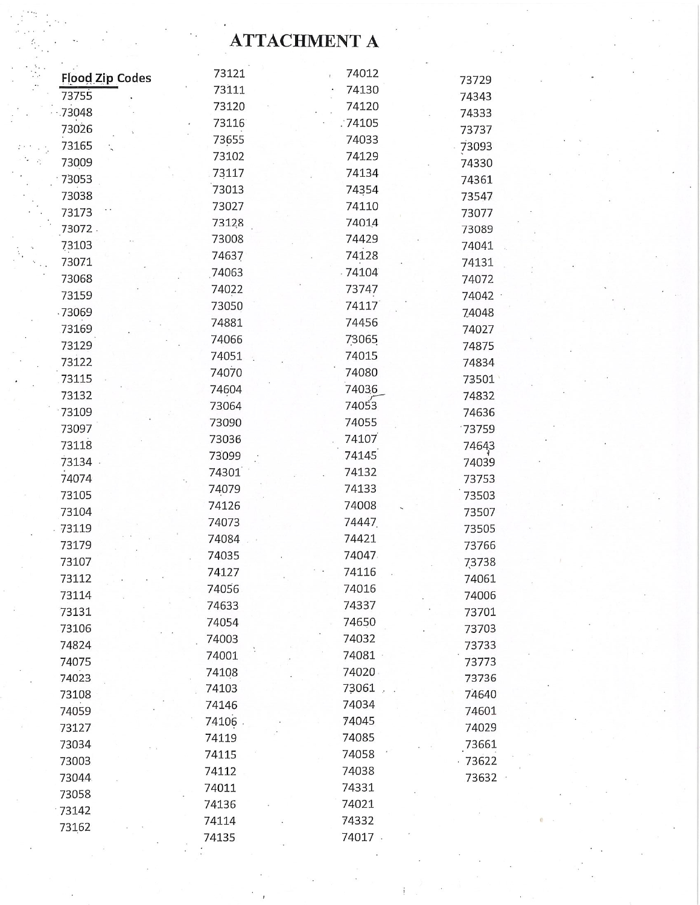# **ATTACHMENT A**

| <b>Flood Zip Codes</b> | 73121  | 74012   |        |
|------------------------|--------|---------|--------|
| 73755                  | 73111  | 74130   | 73729  |
| $-73048$               | 73120  | 74120   | 74343  |
| 73026                  | 73116  | .74105  | 74333  |
|                        | 73655  | 74033   | 73737  |
| 73165                  | 73102  | 74129   | 73093  |
| 73009                  | 73117  | 74134   | 74330  |
| 73053                  | 73013  | 74354   | 74361  |
| 73038                  | 73027  | 74110   | 73547  |
| 73173                  | 73128  | 74014   | 73077  |
| 73072.                 | 73008  | 74429   | 73089  |
| 73103                  | 74637  | 74128   | 74041  |
| 73071                  | 74063  | 74104   | 74131  |
| 73068                  | 74022  | 73747   | 74072  |
| 73159                  | 73050  | 74117   | 74042  |
| .73069                 | 74881  | 74456   | 74048  |
| 73169                  | 74066  | 73065   | 74027  |
| 73129                  | 74051  | 74015   | 74875  |
| 73122                  | 74070  | 74080   | 74834  |
| 73115                  | 74604  | 74036   | 73501  |
| 73132                  | 73064  | 74053   | 74832  |
| 73109                  | 73090  | 74055   | 74636  |
| 73097                  | 73036  | 74107   | 73759  |
| 73118                  | 73099  | 74145   | 74643  |
| 73134 .                | 74301  | 74132   | 74039  |
| 74074                  | 74079  | 74133   | 73753  |
| 73105                  | 74126  | 74008   | 73503  |
| 73104                  | 74073  | 74447   | 73507  |
| $-73119$               | 74084  | 74421   | 73505  |
| 73179                  | 74035  | 74047   | 73766  |
| 73107                  | 74127  | 74116   | 73738  |
| 73112                  | 74056  | 74016   | 74061  |
| 73114                  | 74633  | 74337   | 74006  |
| 73131                  | 74054  | 74650   | 73701  |
| 73106                  | 74003  | 74032   | 73703  |
| 74824                  | 74001  | 74081   | 73733  |
| 74075                  | 74108  | 74020   | 73773  |
| 74023                  | 74103  | 73061   | 73736  |
| 73108                  | 74146  | 74034   | 74640  |
| 74059                  | 74106. | 74045   | 74601  |
| 73127                  | 74119  | 74085   | 74029  |
| 73034                  | 74115  | 74058   | 73661  |
| 73003                  | 74112  | 74038   | .73622 |
| 73044                  | 74011  | 74331   | 73632  |
| 73058                  | 74136  | 74021   |        |
| $-73142$               | 74114  | 74332   |        |
| 73162                  |        | 74017 . |        |
|                        | 74135  |         |        |